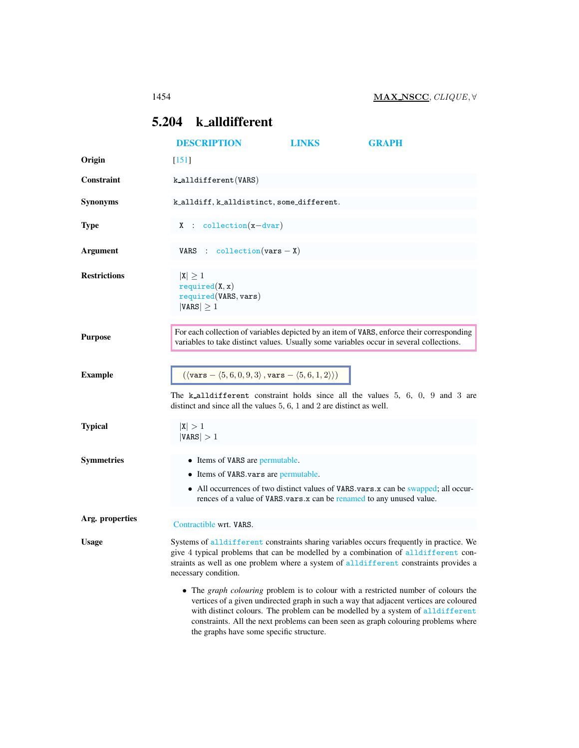# <span id="page-0-0"></span>5.204 k alldifferent

|                     | <b>DESCRIPTION</b>                                                                                                                                                                                                                                                                              | <b>LINKS</b> | <b>GRAPH</b>                                                                                                                                                                                                                                                                                                                                                |  |  |  |
|---------------------|-------------------------------------------------------------------------------------------------------------------------------------------------------------------------------------------------------------------------------------------------------------------------------------------------|--------------|-------------------------------------------------------------------------------------------------------------------------------------------------------------------------------------------------------------------------------------------------------------------------------------------------------------------------------------------------------------|--|--|--|
| Origin              | $[151]$                                                                                                                                                                                                                                                                                         |              |                                                                                                                                                                                                                                                                                                                                                             |  |  |  |
| Constraint          | k_alldifferent(VARS)                                                                                                                                                                                                                                                                            |              |                                                                                                                                                                                                                                                                                                                                                             |  |  |  |
| <b>Synonyms</b>     | k_alldiff, k_alldistinct, some_different.                                                                                                                                                                                                                                                       |              |                                                                                                                                                                                                                                                                                                                                                             |  |  |  |
| <b>Type</b>         | $X : collection(x-dvar)$                                                                                                                                                                                                                                                                        |              |                                                                                                                                                                                                                                                                                                                                                             |  |  |  |
| <b>Argument</b>     | VARS : $\text{collection}(vars - X)$                                                                                                                                                                                                                                                            |              |                                                                                                                                                                                                                                                                                                                                                             |  |  |  |
| <b>Restrictions</b> | $ X  \geq 1$<br>required(X, x)<br>required(VARS, vars)<br>$ VARS  \geq 1$                                                                                                                                                                                                                       |              |                                                                                                                                                                                                                                                                                                                                                             |  |  |  |
| <b>Purpose</b>      |                                                                                                                                                                                                                                                                                                 |              | For each collection of variables depicted by an item of VARS, enforce their corresponding<br>variables to take distinct values. Usually some variables occur in several collections.                                                                                                                                                                        |  |  |  |
| <b>Example</b>      | $(\langle \text{vars} - \langle 5, 6, 0, 9, 3 \rangle, \text{vars} - \langle 5, 6, 1, 2 \rangle))$<br>distinct and since all the values $5, 6, 1$ and $2$ are distinct as well.                                                                                                                 |              | The k_alldifferent constraint holds since all the values $5, 6, 0, 9$ and 3 are                                                                                                                                                                                                                                                                             |  |  |  |
| <b>Typical</b>      | X  > 1<br> VARS  > 1                                                                                                                                                                                                                                                                            |              |                                                                                                                                                                                                                                                                                                                                                             |  |  |  |
| <b>Symmetries</b>   | • Items of VARS are permutable.<br>• Items of VARS vars are permutable.                                                                                                                                                                                                                         |              | • All occurrences of two distinct values of VARS vars x can be swapped; all occur-<br>rences of a value of VARS vars x can be renamed to any unused value.                                                                                                                                                                                                  |  |  |  |
| Arg. properties     | Contractible wrt. VARS.                                                                                                                                                                                                                                                                         |              |                                                                                                                                                                                                                                                                                                                                                             |  |  |  |
| <b>Usage</b>        | Systems of alldifferent constraints sharing variables occurs frequently in practice. We<br>give 4 typical problems that can be modelled by a combination of all different con-<br>straints as well as one problem where a system of alldifferent constraints provides a<br>necessary condition. |              |                                                                                                                                                                                                                                                                                                                                                             |  |  |  |
|                     | the graphs have some specific structure.                                                                                                                                                                                                                                                        |              | • The <i>graph colouring</i> problem is to colour with a restricted number of colours the<br>vertices of a given undirected graph in such a way that adjacent vertices are coloured<br>with distinct colours. The problem can be modelled by a system of alldifferent<br>constraints. All the next problems can been seen as graph colouring problems where |  |  |  |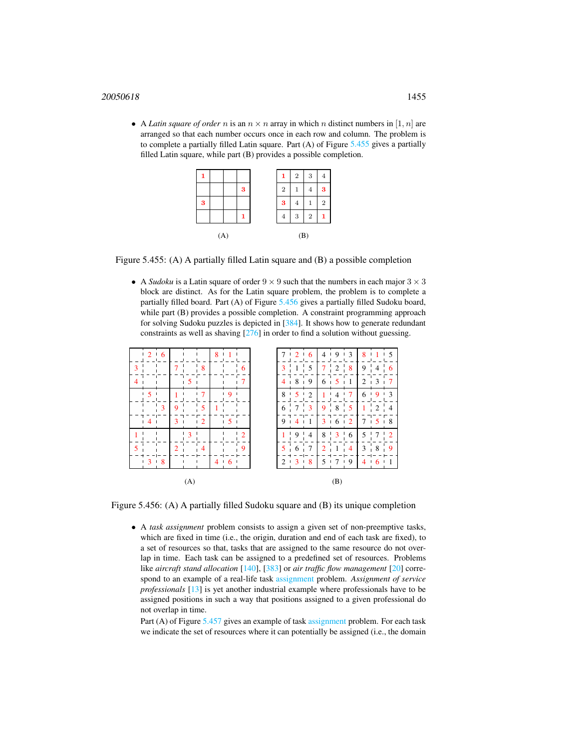### 1455

• A *Latin square of order* n is an  $n \times n$  array in which n distinct numbers in [1, n] are arranged so that each number occurs once in each row and column. The problem is to complete a partially filled Latin square. Part  $(A)$  of Figure [5.455](#page-1-0) gives a partially filled Latin square, while part (B) provides a possible completion.

|   |     |   |                | $\overline{2}$ | 3              |                |
|---|-----|---|----------------|----------------|----------------|----------------|
|   |     | 3 | $\overline{2}$ |                | 4              | 3              |
| 3 |     |   | 3              | 4              | 1              | $\overline{2}$ |
|   |     |   | 4              | 3              | $\overline{2}$ |                |
|   | (A) |   |                | (B)            |                |                |

Figure 5.455: (A) A partially filled Latin square and (B) a possible completion

<span id="page-1-0"></span>• A *Sudoku* is a Latin square of order  $9 \times 9$  such that the numbers in each major  $3 \times 3$ block are distinct. As for the Latin square problem, the problem is to complete a partially filled board. Part (A) of Figure [5.456](#page-1-1) gives a partially filled Sudoku board, while part (B) provides a possible completion. A constraint programming approach for solving Sudoku puzzles is depicted in [384]. It shows how to generate redundant constraints as well as shaving [276] in order to find a solution without guessing.



Figure 5.456: (A) A partially filled Sudoku square and (B) its unique completion

<span id="page-1-1"></span>• A *task assignment* problem consists to assign a given set of non-preemptive tasks, which are fixed in time (i.e., the origin, duration and end of each task are fixed), to a set of resources so that, tasks that are assigned to the same resource do not overlap in time. Each task can be assigned to a predefined set of resources. Problems like *aircraft stand allocation* [140], [383] or *air traffic flow management* [20] correspond to an example of a real-life task assignment problem. *Assignment of service professionals* [13] is yet another industrial example where professionals have to be assigned positions in such a way that positions assigned to a given professional do not overlap in time.

Part (A) of Figure [5.457](#page-2-0) gives an example of task assignment problem. For each task we indicate the set of resources where it can potentially be assigned (i.e., the domain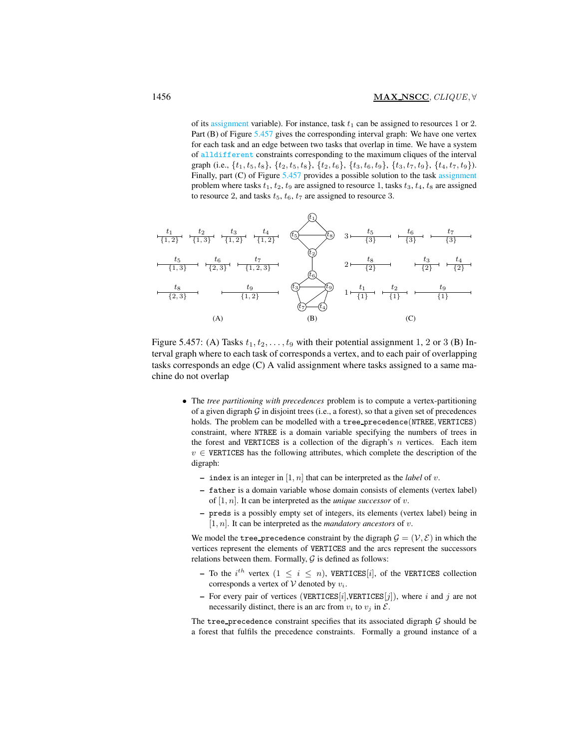of its assignment variable). For instance, task  $t_1$  can be assigned to resources 1 or 2. Part (B) of Figure [5.457](#page-2-0) gives the corresponding interval graph: We have one vertex for each task and an edge between two tasks that overlap in time. We have a system of alldifferent constraints corresponding to the maximum cliques of the interval graph (i.e.,  $\{t_1, t_5, t_8\}$ ,  $\{t_2, t_5, t_8\}$ ,  $\{t_2, t_6\}$ ,  $\{t_3, t_6, t_9\}$ ,  $\{t_3, t_7, t_9\}$ ,  $\{t_4, t_7, t_9\}$ ). Finally, part (C) of Figure [5.457](#page-2-0) provides a possible solution to the task assignment problem where tasks  $t_1$ ,  $t_2$ ,  $t_9$  are assigned to resource 1, tasks  $t_3$ ,  $t_4$ ,  $t_8$  are assigned to resource 2, and tasks  $t_5$ ,  $t_6$ ,  $t_7$  are assigned to resource 3.



<span id="page-2-0"></span>Figure 5.457: (A) Tasks  $t_1, t_2, \ldots, t_9$  with their potential assignment 1, 2 or 3 (B) Interval graph where to each task of corresponds a vertex, and to each pair of overlapping tasks corresponds an edge (C) A valid assignment where tasks assigned to a same machine do not overlap

- The *tree partitioning with precedences* problem is to compute a vertex-partitioning of a given digraph  $G$  in disjoint trees (i.e., a forest), so that a given set of precedences holds. The problem can be modelled with a tree precedence(NTREE, VERTICES) constraint, where NTREE is a domain variable specifying the numbers of trees in the forest and VERTICES is a collection of the digraph's  $n$  vertices. Each item  $v \in$  VERTICES has the following attributes, which complete the description of the digraph:
	- index is an integer in  $[1, n]$  that can be interpreted as the *label* of v.
	- father is a domain variable whose domain consists of elements (vertex label) of  $[1, n]$ . It can be interpreted as the *unique successor* of v.
	- preds is a possibly empty set of integers, its elements (vertex label) being in  $[1, n]$ . It can be interpreted as the *mandatory ancestors* of v.

We model the tree precedence constraint by the digraph  $\mathcal{G} = (\mathcal{V}, \mathcal{E})$  in which the vertices represent the elements of VERTICES and the arcs represent the successors relations between them. Formally,  $G$  is defined as follows:

- To the i<sup>th</sup> vertex  $(1 \le i \le n)$ , VERTICES[i], of the VERTICES collection corresponds a vertex of  $V$  denoted by  $v_i$ .
- For every pair of vertices (VERTICES[i], VERTICES[j]), where i and j are not necessarily distinct, there is an arc from  $v_i$  to  $v_j$  in  $\mathcal{E}$ .

The tree\_precedence constraint specifies that its associated digraph  $G$  should be a forest that fulfils the precedence constraints. Formally a ground instance of a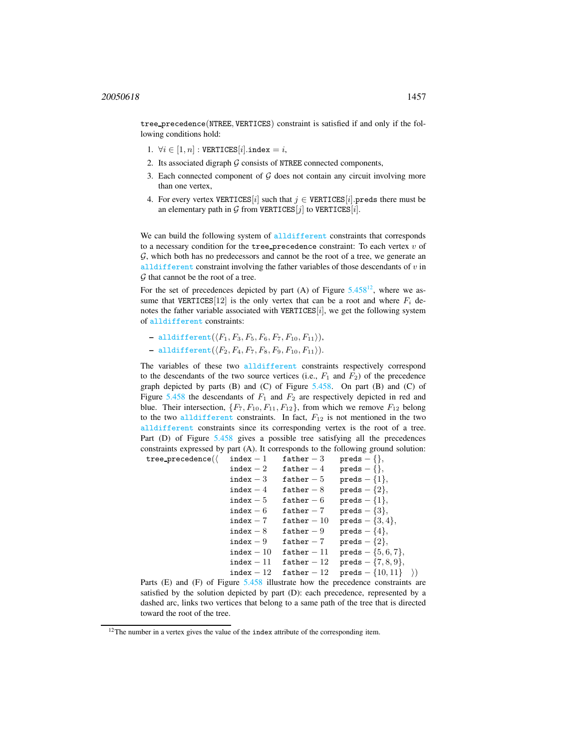tree precedence(NTREE, VERTICES) constraint is satisfied if and only if the following conditions hold:

- 1.  $\forall i \in [1, n] : \text{VERTICES}[i].\text{index} = i,$
- 2. Its associated digraph  $G$  consists of NTREE connected components,
- 3. Each connected component of  $G$  does not contain any circuit involving more than one vertex,
- 4. For every vertex VERTICES[i] such that  $j \in \text{VERTICES}[i]$ . preds there must be an elementary path in  $G$  from VERTICES  $[i]$  to VERTICES  $[i]$ .

We can build the following system of alldifferent constraints that corresponds to a necessary condition for the tree precedence constraint: To each vertex  $v$  of G, which both has no predecessors and cannot be the root of a tree, we generate an alldifferent constraint involving the father variables of those descendants of  $v$  in  $G$  that cannot be the root of a tree.

For the set of precedences depicted by part (A) of Figure  $5.458^{12}$  $5.458^{12}$  $5.458^{12}$  $5.458^{12}$ , where we assume that VERTICES[12] is the only vertex that can be a root and where  $F_i$  denotes the father variable associated with VERTICES $[i]$ , we get the following system of alldifferent constraints:

- alldifferent $(\langle F_1, F_3, F_5, F_6, F_7, F_{10}, F_{11} \rangle)$ ,
- $-$  alldifferent $(\langle F_2, F_4, F_7, F_8, F_9, F_{10}, F_{11} \rangle).$

tree\_precedence( $\langle$ 

The variables of these two alldifferent constraints respectively correspond to the descendants of the two source vertices (i.e.,  $F_1$  and  $F_2$ ) of the precedence graph depicted by parts  $(B)$  and  $(C)$  of Figure [5.458.](#page-4-0) On part  $(B)$  and  $(C)$  of Figure  $5.458$  the descendants of  $F_1$  and  $F_2$  are respectively depicted in red and blue. Their intersection,  $\{F_7, F_{10}, F_{11}, F_{12}\}$ , from which we remove  $F_{12}$  belong to the two alldifferent constraints. In fact,  $F_{12}$  is not mentioned in the two alldifferent constraints since its corresponding vertex is the root of a tree. Part (D) of Figure [5.458](#page-4-0) gives a possible tree satisfying all the precedences constraints expressed by part (A). It corresponds to the following ground solution:

| $index - 1$  | $father-3$        | $preds - \{\},\$               |
|--------------|-------------------|--------------------------------|
| $index - 2$  | $father-4$        | $preds - \{\},\$               |
| index $-3$   | father $-5$       | $\texttt{preds} - \{1\},\$     |
| $index-4$    | $father-8$        | preds $-\{2\},\$               |
| $index - 5$  | $father-6$        | preds $-\{1\},\$               |
| $index - 6$  | $father-7$        | preds $-\{3\},\$               |
| $index - 7$  | $father - 10$     | $\text{preds} - \{3, 4\},\$    |
| $index - 8$  | $father-9$        | $\text{preds} - \{4\},\$       |
| $index - 9$  | $father - 7$      | preds $-\{2\},\$               |
| $index - 10$ | $father - 11$     | $\text{preds} - \{5, 6, 7\},\$ |
| $index - 11$ | $father-12$       | $\text{preds} - \{7, 8, 9\},\$ |
| $index - 12$ | ${\tt father-12}$ | $preds - \{10, 11\}$           |

Parts (E) and (F) of Figure [5.458](#page-4-0) illustrate how the precedence constraints are satisfied by the solution depicted by part (D): each precedence, represented by a dashed arc, links two vertices that belong to a same path of the tree that is directed toward the root of the tree.

<span id="page-3-0"></span><sup>&</sup>lt;sup>12</sup>The number in a vertex gives the value of the index attribute of the corresponding item.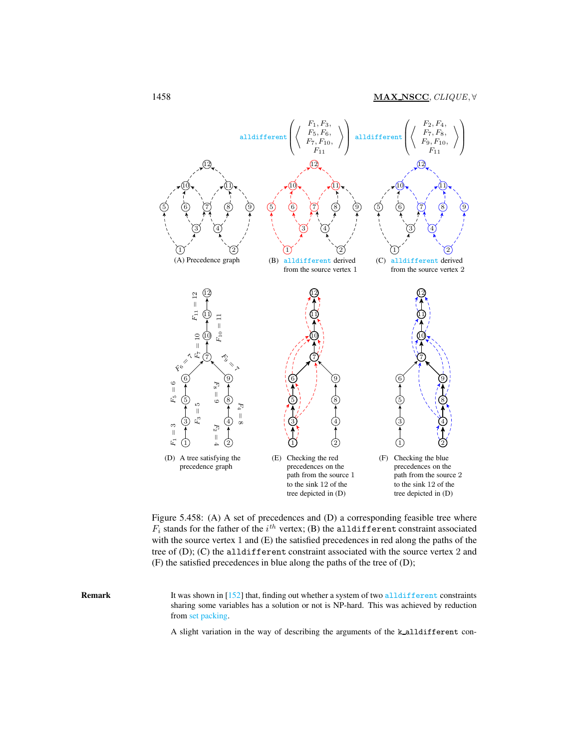

<span id="page-4-0"></span>Figure 5.458: (A) A set of precedences and (D) a corresponding feasible tree where  $F_i$  stands for the father of the  $i^{th}$  vertex; (B) the alldifferent constraint associated with the source vertex 1 and (E) the satisfied precedences in red along the paths of the tree of (D); (C) the alldifferent constraint associated with the source vertex 2 and (F) the satisfied precedences in blue along the paths of the tree of (D);

Remark It was shown in [152] that, finding out whether a system of two alldifferent constraints sharing some variables has a solution or not is NP-hard. This was achieved by reduction from set packing.

A slight variation in the way of describing the arguments of the k alldifferent con-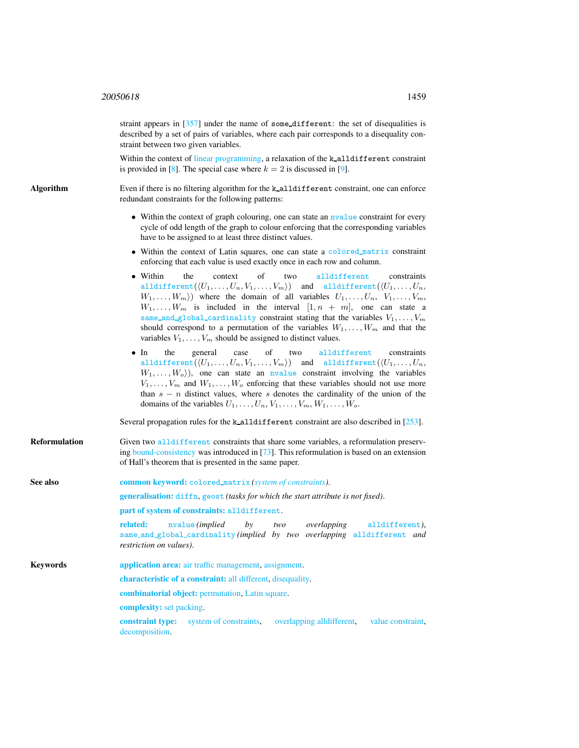straint appears in  $[357]$  under the name of some\_different: the set of disequalities is described by a set of pairs of variables, where each pair corresponds to a disequality constraint between two given variables.

Within the context of linear programming, a relaxation of the k-alldifferent constraint is provided in [8]. The special case where  $k = 2$  is discussed in [9].

Algorithm Even if there is no filtering algorithm for the k-alldifferent constraint, one can enforce redundant constraints for the following patterns:

- Within the context of graph colouring, one can state an nyalue constraint for every cycle of odd length of the graph to colour enforcing that the corresponding variables have to be assigned to at least three distinct values.
- Within the context of Latin squares, one can state a colored matrix constraint enforcing that each value is used exactly once in each row and column.
- Within the context of two alldifferent constraints alldifferent $((U_1, \ldots, U_n, V_1, \ldots, V_m))$  and alldifferent $((U_1, \ldots, U_n,$  $W_1, \ldots, W_m$ ) where the domain of all variables  $U_1, \ldots, U_n, V_1, \ldots, V_m$ ,  $W_1, \ldots, W_m$  is included in the interval  $[1, n + m]$ , one can state a same\_and\_global\_cardinality constraint stating that the variables  $V_1, \ldots, V_m$ should correspond to a permutation of the variables  $W_1, \ldots, W_m$  and that the variables  $V_1, \ldots, V_m$  should be assigned to distinct values.
- In the general case of two alldifferent constraints alldifferent $((U_1, \ldots, U_n, V_1, \ldots, V_m))$  and alldifferent $((U_1, \ldots, U_n,$  $W_1, \ldots, W_o$ , one can state an nvalue constraint involving the variables  $V_1, \ldots, V_m$  and  $W_1, \ldots, W_o$  enforcing that these variables should not use more than  $s - n$  distinct values, where s denotes the cardinality of the union of the domains of the variables  $U_1, \ldots, U_n, V_1, \ldots, V_m, W_1, \ldots, W_o$ .

Several propagation rules for the k\_alldifferent constraint are also described in [253].

**Reformulation** Given two alldifferent constraints that share some variables, a reformulation preserving bound-consistency was introduced in [73]. This reformulation is based on an extension of Hall's theorem that is presented in the same paper.

<span id="page-5-0"></span>

| See also        | <b>common keyword:</b> colored_matrix (system of constraints).                                                                                                              |  |  |  |  |  |
|-----------------|-----------------------------------------------------------------------------------------------------------------------------------------------------------------------------|--|--|--|--|--|
|                 | <b>generalisation:</b> diffn, geost (tasks for which the start attribute is not fixed).                                                                                     |  |  |  |  |  |
|                 | part of system of constraints: alldifferent.                                                                                                                                |  |  |  |  |  |
|                 | related:<br>nvalue (implied by two overlapping alldifferent),<br>same_and_global_cardinality(implied by two overlapping alldifferent and<br><i>restriction on values</i> ). |  |  |  |  |  |
| <b>Keywords</b> | application area: air traffic management, assignment.                                                                                                                       |  |  |  |  |  |
|                 | <b>characteristic of a constraint:</b> all different, disequality.                                                                                                          |  |  |  |  |  |
|                 | <b>combinatorial object:</b> permutation, Latin square.                                                                                                                     |  |  |  |  |  |
|                 | <b>complexity:</b> set packing.                                                                                                                                             |  |  |  |  |  |
|                 | <b>constraint type:</b> system of constraints, overlapping all different, value constraint,<br>decomposition.                                                               |  |  |  |  |  |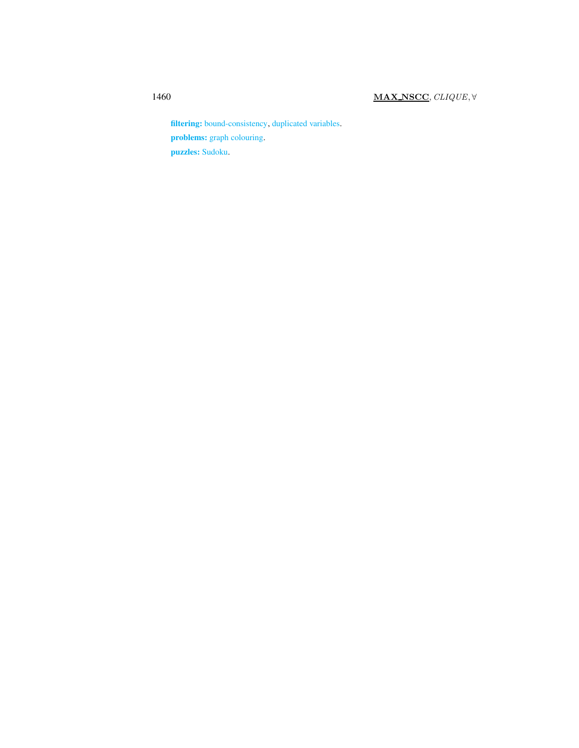filtering: bound-consistency, duplicated variables. problems: graph colouring. puzzles: Sudoku.